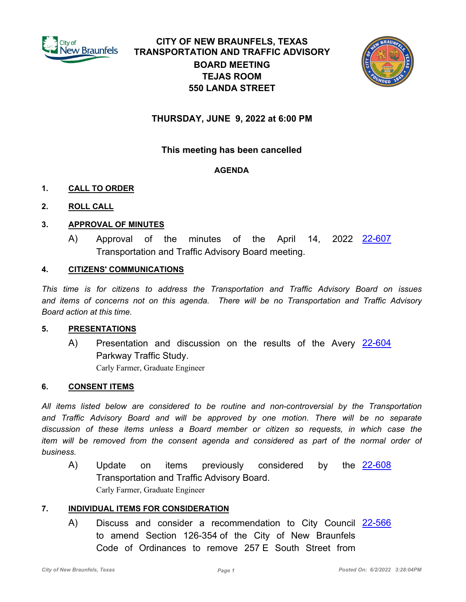

# **CITY OF NEW BRAUNFELS, TEXAS TRANSPORTATION AND TRAFFIC ADVISORY BOARD MEETING TEJAS ROOM 550 LANDA STREET**



# **THURSDAY, JUNE 9, 2022 at 6:00 PM**

# **This meeting has been cancelled**

### **AGENDA**

### **1. CALL TO ORDER**

### **2. ROLL CALL**

### **3. APPROVAL OF MINUTES**

A) Approval of the minutes of the April 14, 2022 <u>[22-607](http://newbraunfels.legistar.com/gateway.aspx?m=l&id=/matter.aspx?key=10620)</u> Transportation and Traffic Advisory Board meeting.

#### **4. CITIZENS' COMMUNICATIONS**

*This time is for citizens to address the Transportation and Traffic Advisory Board on issues and items of concerns not on this agenda. There will be no Transportation and Traffic Advisory Board action at this time.*

#### **5. PRESENTATIONS**

A) Presentation and discussion on the results of the Avery [22-604](http://newbraunfels.legistar.com/gateway.aspx?m=l&id=/matter.aspx?key=10617) Parkway Traffic Study. Carly Farmer, Graduate Engineer

#### **6. CONSENT ITEMS**

*All items listed below are considered to be routine and non-controversial by the Transportation*  and Traffic Advisory Board and will be approved by one motion. There will be no separate *discussion of these items unless a Board member or citizen so requests, in which case the item will be removed from the consent agenda and considered as part of the normal order of business.*

A) Update on items previously considered by the <u>[22-608](http://newbraunfels.legistar.com/gateway.aspx?m=l&id=/matter.aspx?key=10621)</u> Transportation and Traffic Advisory Board. Carly Farmer, Graduate Engineer

#### **7. INDIVIDUAL ITEMS FOR CONSIDERATION**

A) Discuss and consider a recommendation to City Council [22-566](http://newbraunfels.legistar.com/gateway.aspx?m=l&id=/matter.aspx?key=10579) to amend Section 126-354 of the City of New Braunfels Code of Ordinances to remove 257 E South Street from